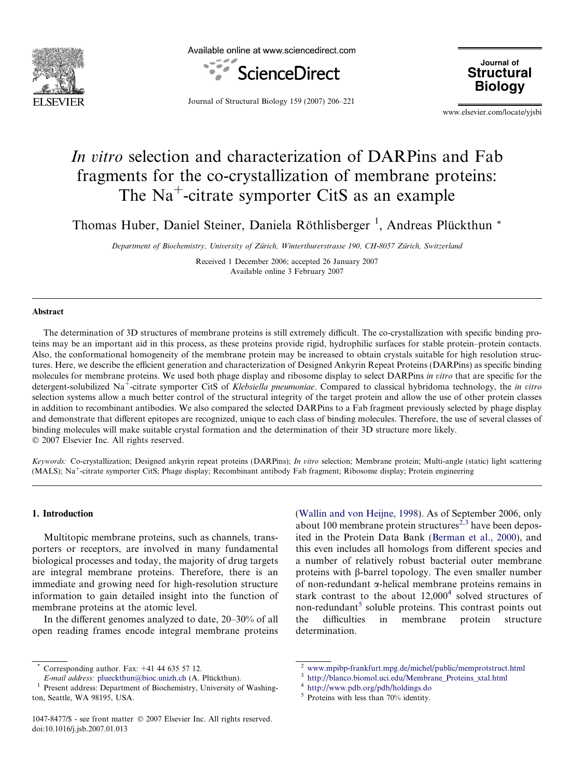

Available online at www.sciencedirect.com



Journal of **Structural Biology** 

Journal of Structural Biology 159 (2007) 206–221

www.elsevier.com/locate/yjsbi

# In vitro selection and characterization of DARPins and Fab fragments for the co-crystallization of membrane proteins: The Na<sup>+</sup>-citrate symporter CitS as an example

Thomas Huber, Daniel Steiner, Daniela Röthlisberger<sup>1</sup>, Andreas Plückthun<sup>\*</sup>

Department of Biochemistry, University of Zürich, Winterthurerstrasse 190, CH-8057 Zürich, Switzerland

Received 1 December 2006; accepted 26 January 2007 Available online 3 February 2007

#### Abstract

The determination of 3D structures of membrane proteins is still extremely difficult. The co-crystallization with specific binding proteins may be an important aid in this process, as these proteins provide rigid, hydrophilic surfaces for stable protein–protein contacts. Also, the conformational homogeneity of the membrane protein may be increased to obtain crystals suitable for high resolution structures. Here, we describe the efficient generation and characterization of Designed Ankyrin Repeat Proteins (DARPins) as specific binding molecules for membrane proteins. We used both phage display and ribosome display to select DARPins in vitro that are specific for the detergent-solubilized Na<sup>+</sup>-citrate symporter CitS of Klebsiella pneumoniae. Compared to classical hybridoma technology, the in vitro selection systems allow a much better control of the structural integrity of the target protein and allow the use of other protein classes in addition to recombinant antibodies. We also compared the selected DARPins to a Fab fragment previously selected by phage display and demonstrate that different epitopes are recognized, unique to each class of binding molecules. Therefore, the use of several classes of binding molecules will make suitable crystal formation and the determination of their 3D structure more likely. © 2007 Elsevier Inc. All rights reserved.

Keywords: Co-crystallization; Designed ankyrin repeat proteins (DARPins); In vitro selection; Membrane protein; Multi-angle (static) light scattering (MALS); Na+-citrate symporter CitS; Phage display; Recombinant antibody Fab fragment; Ribosome display; Protein engineering

# 1. Introduction

Multitopic membrane proteins, such as channels, transporters or receptors, are involved in many fundamental biological processes and today, the majority of drug targets are integral membrane proteins. Therefore, there is an immediate and growing need for high-resolution structure information to gain detailed insight into the function of membrane proteins at the atomic level.

In the different genomes analyzed to date, 20–30% of all open reading frames encode integral membrane proteins [\(Wallin and von Heijne, 1998\)](#page-15-0). As of September 2006, only about 100 membrane protein structures<sup> $2,3$ </sup> have been deposited in the Protein Data Bank ([Berman et al., 2000\)](#page-14-0), and this even includes all homologs from different species and a number of relatively robust bacterial outer membrane proteins with  $\beta$ -barrel topology. The even smaller number of non-redundant a-helical membrane proteins remains in stark contrast to the about  $12,000<sup>4</sup>$  solved structures of non-redundant<sup>5</sup> soluble proteins. This contrast points out the difficulties in membrane protein structure determination.

Corresponding author. Fax: +41 44 635 57 12.

 $E\text{-}mail address: plueckthun@bioc.unizh.ch (A. Plückthun).$  $E\text{-}mail address: plueckthun@bioc.unizh.ch (A. Plückthun).$  $E\text{-}mail address: plueckthun@bioc.unizh.ch (A. Plückthun).$ <br><sup>1</sup> Present address: Department of Biochemistry, University of Washington, Seattle, WA 98195, USA.

<sup>1047-8477/\$ -</sup> see front matter © 2007 Elsevier Inc. All rights reserved. doi:10.1016/j.jsb.2007.01.013

<sup>&</sup>lt;sup>2</sup> [www.mpibp-frankfurt.mpg.de/michel/public/memprotstruct.html](http://www.mpibp-frankfurt.mpg.de/michel/public/memprotstruct.html)  $\frac{3}{1}$  [http://blanco.biomol.uci.edu/Membrane\\_Proteins\\_xtal.html](http://blanco.biomol.uci.edu/Membrane_Proteins_xtal.html)  $\frac{4}{1}$  <http://www.pdb.org/pdb/holdings.do>  $\frac{5}{1}$  Proteins with less than 70% identit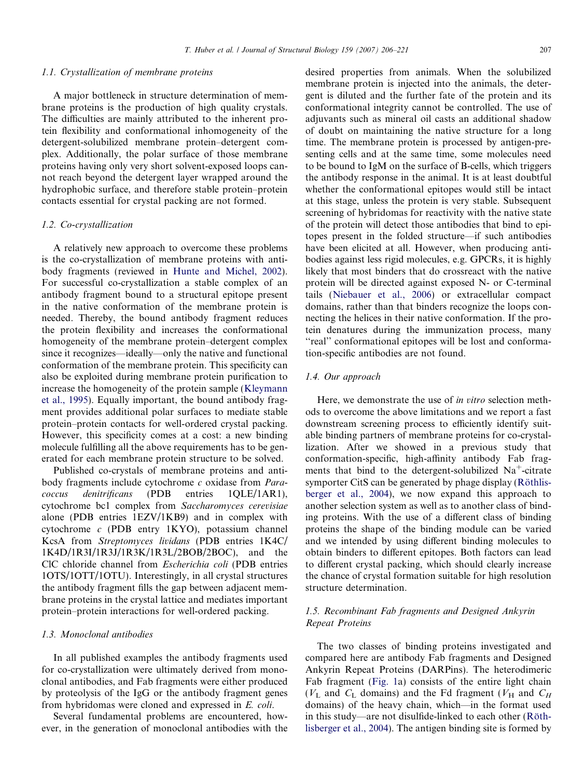## 1.1. Crystallization of membrane proteins

A major bottleneck in structure determination of membrane proteins is the production of high quality crystals. The difficulties are mainly attributed to the inherent protein flexibility and conformational inhomogeneity of the detergent-solubilized membrane protein–detergent complex. Additionally, the polar surface of those membrane proteins having only very short solvent-exposed loops cannot reach beyond the detergent layer wrapped around the hydrophobic surface, and therefore stable protein–protein contacts essential for crystal packing are not formed.

# 1.2. Co-crystallization

A relatively new approach to overcome these problems is the co-crystallization of membrane proteins with antibody fragments (reviewed in [Hunte and Michel, 2002\)](#page-14-0). For successful co-crystallization a stable complex of an antibody fragment bound to a structural epitope present in the native conformation of the membrane protein is needed. Thereby, the bound antibody fragment reduces the protein flexibility and increases the conformational homogeneity of the membrane protein–detergent complex since it recognizes—ideally—only the native and functional conformation of the membrane protein. This specificity can also be exploited during membrane protein purification to increase the homogeneity of the protein sample [\(Kleymann](#page-14-0) [et al., 1995\)](#page-14-0). Equally important, the bound antibody fragment provides additional polar surfaces to mediate stable protein–protein contacts for well-ordered crystal packing. However, this specificity comes at a cost: a new binding molecule fulfilling all the above requirements has to be generated for each membrane protein structure to be solved.

Published co-crystals of membrane proteins and antibody fragments include cytochrome c oxidase from Paracoccus denitrificans (PDB entries 1QLE/1AR1), cytochrome bc1 complex from Saccharomyces cerevisiae alone (PDB entries 1EZV/1KB9) and in complex with cytochrome c (PDB entry 1KYO), potassium channel KcsA from Streptomyces lividans (PDB entries 1K4C/ 1K4D/1R3I/1R3J/1R3K/1R3L/2BOB/2BOC), and the ClC chloride channel from Escherichia coli (PDB entries 1OTS/1OTT/1OTU). Interestingly, in all crystal structures the antibody fragment fills the gap between adjacent membrane proteins in the crystal lattice and mediates important protein–protein interactions for well-ordered packing.

## 1.3. Monoclonal antibodies

In all published examples the antibody fragments used for co-crystallization were ultimately derived from monoclonal antibodies, and Fab fragments were either produced by proteolysis of the IgG or the antibody fragment genes from hybridomas were cloned and expressed in E. coli.

Several fundamental problems are encountered, however, in the generation of monoclonal antibodies with the desired properties from animals. When the solubilized membrane protein is injected into the animals, the detergent is diluted and the further fate of the protein and its conformational integrity cannot be controlled. The use of adjuvants such as mineral oil casts an additional shadow of doubt on maintaining the native structure for a long time. The membrane protein is processed by antigen-presenting cells and at the same time, some molecules need to be bound to IgM on the surface of B-cells, which triggers the antibody response in the animal. It is at least doubtful whether the conformational epitopes would still be intact at this stage, unless the protein is very stable. Subsequent screening of hybridomas for reactivity with the native state of the protein will detect those antibodies that bind to epitopes present in the folded structure—if such antibodies have been elicited at all. However, when producing antibodies against less rigid molecules, e.g. GPCRs, it is highly likely that most binders that do crossreact with the native protein will be directed against exposed N- or C-terminal tails [\(Niebauer et al., 2006](#page-15-0)) or extracellular compact domains, rather than that binders recognize the loops connecting the helices in their native conformation. If the protein denatures during the immunization process, many ''real'' conformational epitopes will be lost and conformation-specific antibodies are not found.

#### 1.4. Our approach

Here, we demonstrate the use of in vitro selection methods to overcome the above limitations and we report a fast downstream screening process to efficiently identify suitable binding partners of membrane proteins for co-crystallization. After we showed in a previous study that conformation-specific, high-affinity antibody Fab fragments that bind to the detergent-solubilized  $Na<sup>+</sup>$ -citrate symporter CitS can be generated by phage display (Röthlis[berger et al., 2004\)](#page-15-0), we now expand this approach to another selection system as well as to another class of binding proteins. With the use of a different class of binding proteins the shape of the binding module can be varied and we intended by using different binding molecules to obtain binders to different epitopes. Both factors can lead to different crystal packing, which should clearly increase the chance of crystal formation suitable for high resolution structure determination.

# 1.5. Recombinant Fab fragments and Designed Ankyrin Repeat Proteins

The two classes of binding proteins investigated and compared here are antibody Fab fragments and Designed Ankyrin Repeat Proteins (DARPins). The heterodimeric Fab fragment ([Fig. 1](#page-2-0)a) consists of the entire light chain ( $V<sub>L</sub>$  and  $C<sub>L</sub>$  domains) and the Fd fragment ( $V<sub>H</sub>$  and  $C<sub>H</sub>$ ) domains) of the heavy chain, which—in the format used in this study—are not disulfide-linked to each other  $(R\ddot{o}th$ [lisberger et al., 2004](#page-15-0)). The antigen binding site is formed by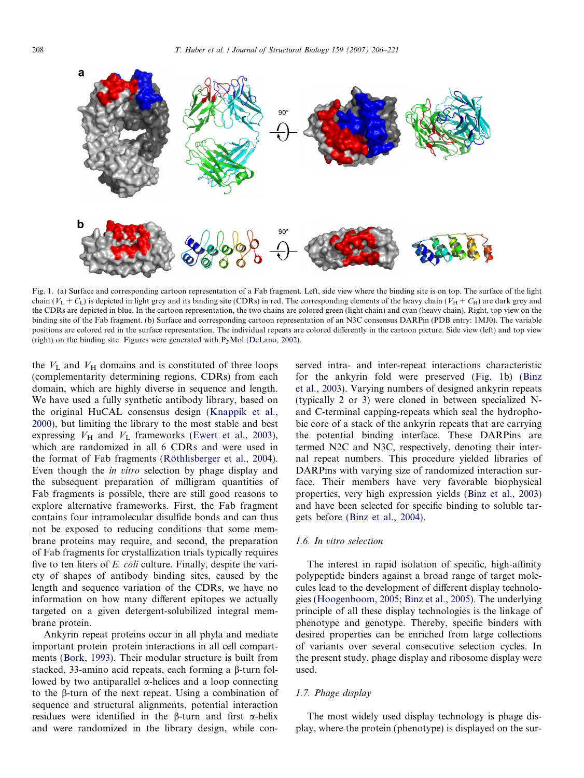<span id="page-2-0"></span>

Fig. 1. (a) Surface and corresponding cartoon representation of a Fab fragment. Left, side view where the binding site is on top. The surface of the light chain  $(V_L + C_I)$  is depicted in light grey and its binding site (CDRs) in red. The corresponding elements of the heavy chain  $(V_H + C_H)$  are dark grey and the CDRs are depicted in blue. In the cartoon representation, the two chains are colored green (light chain) and cyan (heavy chain). Right, top view on the binding site of the Fab fragment. (b) Surface and corresponding cartoon representation of an N3C consensus DARPin (PDB entry: 1MJ0). The variable positions are colored red in the surface representation. The individual repeats are colored differently in the cartoon picture. Side view (left) and top view (right) on the binding site. Figures were generated with PyMol [\(DeLano, 2002\)](#page-14-0).

the  $V<sub>L</sub>$  and  $V<sub>H</sub>$  domains and is constituted of three loops (complementarity determining regions, CDRs) from each domain, which are highly diverse in sequence and length. We have used a fully synthetic antibody library, based on the original HuCAL consensus design [\(Knappik et al.,](#page-14-0) [2000\)](#page-14-0), but limiting the library to the most stable and best expressing  $V_H$  and  $V_L$  frameworks ([Ewert et al., 2003\)](#page-14-0), which are randomized in all 6 CDRs and were used in the format of Fab fragments (Röthlisberger et al., 2004). Even though the in vitro selection by phage display and the subsequent preparation of milligram quantities of Fab fragments is possible, there are still good reasons to explore alternative frameworks. First, the Fab fragment contains four intramolecular disulfide bonds and can thus not be exposed to reducing conditions that some membrane proteins may require, and second, the preparation of Fab fragments for crystallization trials typically requires five to ten liters of E. coli culture. Finally, despite the variety of shapes of antibody binding sites, caused by the length and sequence variation of the CDRs, we have no information on how many different epitopes we actually targeted on a given detergent-solubilized integral membrane protein.

Ankyrin repeat proteins occur in all phyla and mediate important protein–protein interactions in all cell compartments ([Bork, 1993](#page-14-0)). Their modular structure is built from stacked, 33-amino acid repeats, each forming a  $\beta$ -turn followed by two antiparallel  $\alpha$ -helices and a loop connecting to the  $\beta$ -turn of the next repeat. Using a combination of sequence and structural alignments, potential interaction residues were identified in the  $\beta$ -turn and first  $\alpha$ -helix and were randomized in the library design, while conserved intra- and inter-repeat interactions characteristic for the ankyrin fold were preserved (Fig. 1b) ([Binz](#page-14-0) [et al., 2003\)](#page-14-0). Varying numbers of designed ankyrin repeats (typically 2 or 3) were cloned in between specialized Nand C-terminal capping-repeats which seal the hydrophobic core of a stack of the ankyrin repeats that are carrying the potential binding interface. These DARPins are termed N2C and N3C, respectively, denoting their internal repeat numbers. This procedure yielded libraries of DARPins with varying size of randomized interaction surface. Their members have very favorable biophysical properties, very high expression yields ([Binz et al., 2003](#page-14-0)) and have been selected for specific binding to soluble targets before [\(Binz et al., 2004](#page-14-0)).

#### 1.6. In vitro selection

The interest in rapid isolation of specific, high-affinity polypeptide binders against a broad range of target molecules lead to the development of different display technologies [\(Hoogenboom, 2005; Binz et al., 2005\)](#page-14-0). The underlying principle of all these display technologies is the linkage of phenotype and genotype. Thereby, specific binders with desired properties can be enriched from large collections of variants over several consecutive selection cycles. In the present study, phage display and ribosome display were used.

# 1.7. Phage display

The most widely used display technology is phage display, where the protein (phenotype) is displayed on the sur-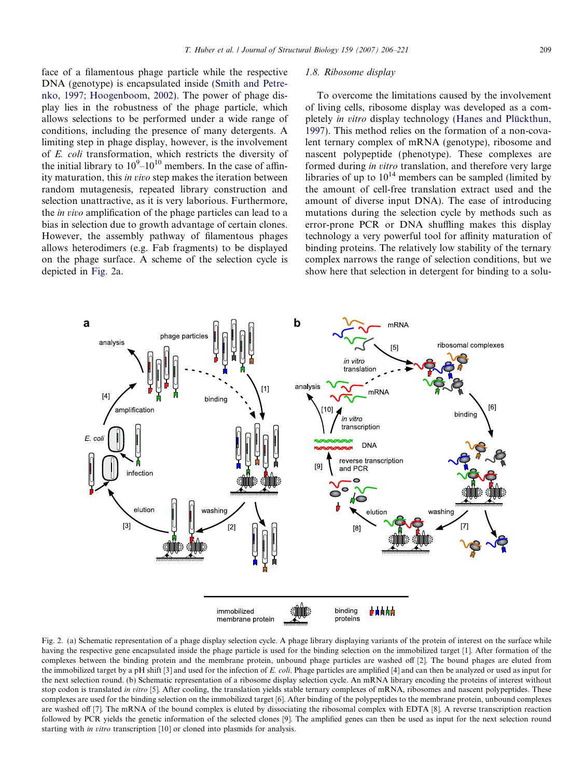<span id="page-3-0"></span>face of a filamentous phage particle while the respective DNA (genotype) is encapsulated inside ([Smith and Petre](#page-15-0)[nko, 1997; Hoogenboom, 2002\)](#page-15-0). The power of phage display lies in the robustness of the phage particle, which allows selections to be performed under a wide range of conditions, including the presence of many detergents. A limiting step in phage display, however, is the involvement of E. coli transformation, which restricts the diversity of the initial library to  $10^9 - 10^{10}$  members. In the case of affinity maturation, this in vivo step makes the iteration between random mutagenesis, repeated library construction and selection unattractive, as it is very laborious. Furthermore, the in vivo amplification of the phage particles can lead to a bias in selection due to growth advantage of certain clones. However, the assembly pathway of filamentous phages allows heterodimers (e.g. Fab fragments) to be displayed on the phage surface. A scheme of the selection cycle is depicted in Fig. 2a.

# 1.8. Ribosome display

To overcome the limitations caused by the involvement of living cells, ribosome display was developed as a completely *in vitro* display technology (Hanes and Plückthun, [1997](#page-14-0)). This method relies on the formation of a non-covalent ternary complex of mRNA (genotype), ribosome and nascent polypeptide (phenotype). These complexes are formed during in vitro translation, and therefore very large libraries of up to  $10^{14}$  members can be sampled (limited by the amount of cell-free translation extract used and the amount of diverse input DNA). The ease of introducing mutations during the selection cycle by methods such as error-prone PCR or DNA shuffling makes this display technology a very powerful tool for affinity maturation of binding proteins. The relatively low stability of the ternary complex narrows the range of selection conditions, but we show here that selection in detergent for binding to a solu-



Fig. 2. (a) Schematic representation of a phage display selection cycle. A phage library displaying variants of the protein of interest on the surface while having the respective gene encapsulated inside the phage particle is used for the binding selection on the immobilized target [1]. After formation of the complexes between the binding protein and the membrane protein, unbound phage particles are washed off [2]. The bound phages are eluted from the immobilized target by a pH shift  $[3]$  and used for the infection of E. coli. Phage particles are amplified  $[4]$  and can then be analyzed or used as input for the next selection round. (b) Schematic representation of a ribosome display selection cycle. An mRNA library encoding the proteins of interest without stop codon is translated in vitro [5]. After cooling, the translation yields stable ternary complexes of mRNA, ribosomes and nascent polypeptides. These complexes are used for the binding selection on the immobilized target [6]. After binding of the polypeptides to the membrane protein, unbound complexes are washed off [7]. The mRNA of the bound complex is eluted by dissociating the ribosomal complex with EDTA [8]. A reverse transcription reaction followed by PCR yields the genetic information of the selected clones [9]. The amplified genes can then be used as input for the next selection round starting with *in vitro* transcription [10] or cloned into plasmids for analysis.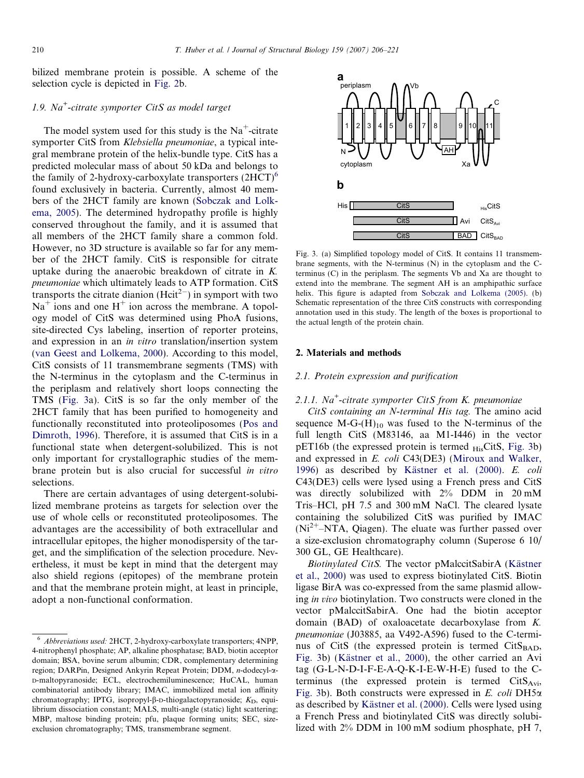<span id="page-4-0"></span>bilized membrane protein is possible. A scheme of the selection cycle is depicted in [Fig. 2b](#page-3-0).

## 1.9. Na<sup>+</sup>-citrate symporter CitS as model target

The model system used for this study is the  $Na<sup>+</sup>$ -citrate symporter CitS from Klebsiella pneumoniae, a typical integral membrane protein of the helix-bundle type. CitS has a predicted molecular mass of about 50 kDa and belongs to the family of 2-hydroxy-carboxylate transporters  $(2HCT)^6$ found exclusively in bacteria. Currently, almost 40 members of the 2HCT family are known [\(Sobczak and Lolk](#page-15-0)[ema, 2005](#page-15-0)). The determined hydropathy profile is highly conserved throughout the family, and it is assumed that all members of the 2HCT family share a common fold. However, no 3D structure is available so far for any member of the 2HCT family. CitS is responsible for citrate uptake during the anaerobic breakdown of citrate in K. pneumoniae which ultimately leads to ATP formation. CitS transports the citrate dianion  $(Hcit^{2-})$  in symport with two  $Na<sup>+</sup>$  ions and one  $H<sup>+</sup>$  ion across the membrane. A topology model of CitS was determined using PhoA fusions, site-directed Cys labeling, insertion of reporter proteins, and expression in an in vitro translation/insertion system [\(van Geest and Lolkema, 2000](#page-15-0)). According to this model, CitS consists of 11 transmembrane segments (TMS) with the N-terminus in the cytoplasm and the C-terminus in the periplasm and relatively short loops connecting the TMS (Fig. 3a). CitS is so far the only member of the 2HCT family that has been purified to homogeneity and functionally reconstituted into proteoliposomes ([Pos and](#page-15-0) [Dimroth, 1996](#page-15-0)). Therefore, it is assumed that CitS is in a functional state when detergent-solubilized. This is not only important for crystallographic studies of the membrane protein but is also crucial for successful in vitro selections.

There are certain advantages of using detergent-solubilized membrane proteins as targets for selection over the use of whole cells or reconstituted proteoliposomes. The advantages are the accessibility of both extracellular and intracellular epitopes, the higher monodispersity of the target, and the simplification of the selection procedure. Nevertheless, it must be kept in mind that the detergent may also shield regions (epitopes) of the membrane protein and that the membrane protein might, at least in principle, adopt a non-functional conformation.



Fig. 3. (a) Simplified topology model of CitS. It contains 11 transmembrane segments, with the N-terminus (N) in the cytoplasm and the Cterminus (C) in the periplasm. The segments Vb and Xa are thought to extend into the membrane. The segment AH is an amphipathic surface helix. This figure is adapted from [Sobczak and Lolkema \(2005\)](#page-15-0). (b) Schematic representation of the three CitS constructs with corresponding annotation used in this study. The length of the boxes is proportional to the actual length of the protein chain.

# 2. Materials and methods

# 2.1. Protein expression and purification

## 2.1.1. Na<sup>+</sup>-citrate symporter CitS from K. pneumoniae

CitS containing an N-terminal His tag. The amino acid sequence  $M-G-(H)_{10}$  was fused to the N-terminus of the full length CitS (M83146, aa M1-I446) in the vector  $pET16b$  (the expressed protein is termed  $_{His}C$ itS, Fig. 3b) and expressed in E. coli C43(DE3) [\(Miroux and Walker,](#page-15-0) [1996\)](#page-15-0) as described by Kästner et al. (2000). E. coli C43(DE3) cells were lysed using a French press and CitS was directly solubilized with 2% DDM in 20 mM Tris–HCl, pH 7.5 and 300 mM NaCl. The cleared lysate containing the solubilized CitS was purified by IMAC  $(Ni^{2+}-NTA, Oiagen)$ . The eluate was further passed over a size-exclusion chromatography column (Superose 6 10/ 300 GL, GE Healthcare).

Biotinylated CitS. The vector pMalccitSabirA (Kästner [et al., 2000\)](#page-14-0) was used to express biotinylated CitS. Biotin ligase BirA was co-expressed from the same plasmid allowing in vivo biotinylation. Two constructs were cloned in the vector pMalccitSabirA. One had the biotin acceptor domain (BAD) of oxaloacetate decarboxylase from K. pneumoniae (J03885, aa V492-A596) fused to the C-terminus of CitS (the expressed protein is termed  $\text{CitS}_{\text{BAD}}$ , Fig. 3b) (Kästner et al., 2000), the other carried an Avi tag (G-L-N-D-I-F-E-A-Q-K-I-E-W-H-E) fused to the Cterminus (the expressed protein is termed  $C$ it $S_{Avi}$ , Fig. 3b). Both constructs were expressed in  $E$ . *coli* DH5 $\alpha$ as described by Kästner et al. (2000). Cells were lysed using a French Press and biotinylated CitS was directly solubilized with 2% DDM in 100 mM sodium phosphate, pH 7,

<sup>6</sup> Abbreviations used: 2HCT, 2-hydroxy-carboxylate transporters; 4NPP, 4-nitrophenyl phosphate; AP, alkaline phosphatase; BAD, biotin acceptor domain; BSA, bovine serum albumin; CDR, complementary determining region; DARPin, Designed Ankyrin Repeat Protein; DDM, n-dodecyl-a-D-maltopyranoside; ECL, electrochemiluminescence; HuCAL, human combinatorial antibody library; IMAC, immobilized metal ion affinity chromatography; IPTG, isopropyl- $\beta$ -D-thiogalactopyranoside;  $K_D$ , equilibrium dissociation constant; MALS, multi-angle (static) light scattering; MBP, maltose binding protein; pfu, plaque forming units; SEC, sizeexclusion chromatography; TMS, transmembrane segment.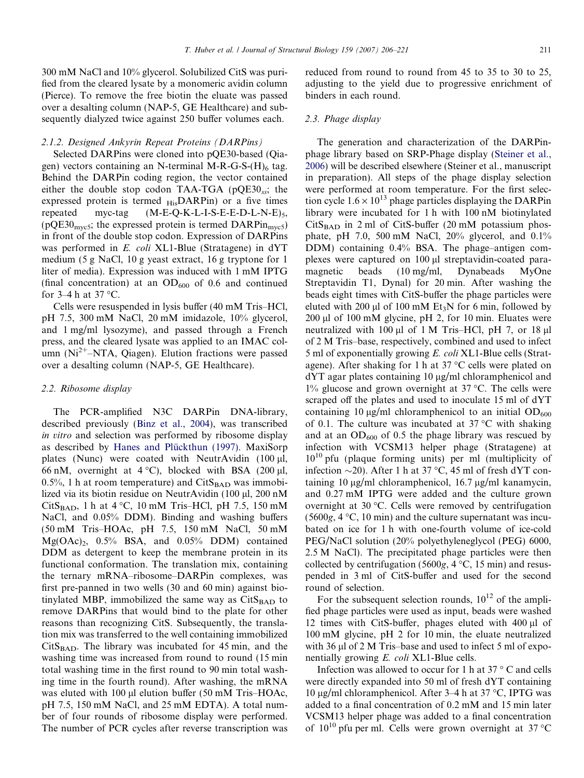300 mM NaCl and 10% glycerol. Solubilized CitS was purified from the cleared lysate by a monomeric avidin column (Pierce). To remove the free biotin the eluate was passed over a desalting column (NAP-5, GE Healthcare) and subsequently dialyzed twice against 250 buffer volumes each.

# 2.1.2. Designed Ankyrin Repeat Proteins (DARPins)

Selected DARPins were cloned into pQE30-based (Qiagen) vectors containing an N-terminal M-R-G-S- $(H)$ <sub>6</sub> tag. Behind the DARPin coding region, the vector contained either the double stop codon TAA-TGA ( $p$ OE30 $_{ss}$ ; the expressed protein is termed  $_{\text{His}}$ DARPin) or a five times repeated myc-tag  $(M-E-Q-K-L-I-S-E-E-D-L-N-E)_{5}$ , (pQE30<sub>myc5</sub>; the expressed protein is termed DARPin<sub>myc5</sub>) in front of the double stop codon. Expression of DARPins was performed in E. coli XL1-Blue (Stratagene) in dYT medium (5 g NaCl, 10 g yeast extract, 16 g tryptone for 1 liter of media). Expression was induced with 1 mM IPTG (final concentration) at an  $OD_{600}$  of 0.6 and continued for  $3-4$  h at  $37$  °C.

Cells were resuspended in lysis buffer (40 mM Tris–HCl, pH 7.5, 300 mM NaCl, 20 mM imidazole, 10% glycerol, and 1 mg/ml lysozyme), and passed through a French press, and the cleared lysate was applied to an IMAC column  $(Ni^{2+}-NTA, Qiagen)$ . Elution fractions were passed over a desalting column (NAP-5, GE Healthcare).

#### 2.2. Ribosome display

The PCR-amplified N3C DARPin DNA-library, described previously ([Binz et al., 2004](#page-14-0)), was transcribed in vitro and selection was performed by ribosome display as described by Hanes and Plückthun (1997). MaxiSorp plates (Nunc) were coated with NeutrAvidin  $(100 \mu I,$ 66 nM, overnight at  $4^{\circ}$ C), blocked with BSA (200  $\mu$ l, 0.5%, 1 h at room temperature) and  $Cits_{BAD}$  was immobilized via its biotin residue on NeutrAvidin (100  $\mu$ l, 200 nM CitS<sub>BAD</sub>, 1 h at 4 °C, 10 mM Tris–HCl, pH 7.5, 150 mM NaCl, and 0.05% DDM). Binding and washing buffers (50 mM Tris–HOAc, pH 7.5, 150 mM NaCl, 50 mM  $Mg(OAc)_2$ , 0.5% BSA, and 0.05% DDM) contained DDM as detergent to keep the membrane protein in its functional conformation. The translation mix, containing the ternary mRNA–ribosome–DARPin complexes, was first pre-panned in two wells (30 and 60 min) against biotinylated MBP, immobilized the same way as  $Cits<sub>BAD</sub>$  to remove DARPins that would bind to the plate for other reasons than recognizing CitS. Subsequently, the translation mix was transferred to the well containing immobilized  $Cits<sub>BAD</sub>$ . The library was incubated for 45 min, and the washing time was increased from round to round (15 min total washing time in the first round to 90 min total washing time in the fourth round). After washing, the mRNA was eluted with  $100 \mu l$  elution buffer (50 mM Tris–HOAc, pH 7.5, 150 mM NaCl, and 25 mM EDTA). A total number of four rounds of ribosome display were performed. The number of PCR cycles after reverse transcription was reduced from round to round from 45 to 35 to 30 to 25, adjusting to the yield due to progressive enrichment of binders in each round.

## 2.3. Phage display

The generation and characterization of the DARPinphage library based on SRP-Phage display ([Steiner et al.,](#page-15-0) [2006](#page-15-0)) will be described elsewhere (Steiner et al., manuscript in preparation). All steps of the phage display selection were performed at room temperature. For the first selection cycle  $1.6 \times 10^{13}$  phage particles displaying the DARPin library were incubated for 1 h with 100 nM biotinylated  $Cits<sub>BAD</sub>$  in 2 ml of CitS-buffer (20 mM potassium phosphate, pH 7.0, 500 mM NaCl, 20% glycerol, and 0.1% DDM) containing 0.4% BSA. The phage–antigen complexes were captured on 100 µl streptavidin-coated paramagnetic beads (10 mg/ml, Dynabeads MyOne Streptavidin T1, Dynal) for 20 min. After washing the beads eight times with CitS-buffer the phage particles were eluted with 200  $\mu$ l of 100 mM Et<sub>3</sub>N for 6 min, followed by  $200 \mu$ l of 100 mM glycine, pH 2, for 10 min. Eluates were neutralized with 100  $\mu$ l of 1 M Tris–HCl, pH 7, or 18  $\mu$ l of 2 M Tris–base, respectively, combined and used to infect 5 ml of exponentially growing E. coli XL1-Blue cells (Stratagene). After shaking for 1 h at 37  $\degree$ C cells were plated on  $dYT$  agar plates containing 10  $\mu$ g/ml chloramphenicol and  $1\%$  glucose and grown overnight at 37 °C. The cells were scraped off the plates and used to inoculate 15 ml of dYT containing 10  $\mu$ g/ml chloramphenicol to an initial OD<sub>600</sub> of 0.1. The culture was incubated at  $37^{\circ}$ C with shaking and at an  $OD_{600}$  of 0.5 the phage library was rescued by infection with VCSM13 helper phage (Stratagene) at  $10^{10}$  pfu (plaque forming units) per ml (multiplicity of infection  $\sim$ 20). After 1 h at 37 °C, 45 ml of fresh dYT containing 10  $\mu$ g/ml chloramphenicol, 16.7  $\mu$ g/ml kanamycin, and 0.27 mM IPTG were added and the culture grown overnight at  $30^{\circ}$ C. Cells were removed by centrifugation  $(5600g, 4 \degree C, 10 \text{ min})$  and the culture supernatant was incubated on ice for 1 h with one-fourth volume of ice-cold PEG/NaCl solution (20% polyethyleneglycol (PEG) 6000, 2.5 M NaCl). The precipitated phage particles were then collected by centrifugation (5600g,  $4^{\circ}$ C, 15 min) and resuspended in 3 ml of CitS-buffer and used for the second round of selection.

For the subsequent selection rounds,  $10^{12}$  of the amplified phage particles were used as input, beads were washed 12 times with CitS-buffer, phages eluted with  $400 \mu l$  of 100 mM glycine, pH 2 for 10 min, the eluate neutralized with 36 µl of 2 M Tris–base and used to infect 5 ml of exponentially growing *E. coli* XL1-Blue cells.

Infection was allowed to occur for 1 h at  $37 \degree$  C and cells were directly expanded into 50 ml of fresh dYT containing 10 µg/ml chloramphenicol. After 3–4 h at 37 °C, IPTG was added to a final concentration of 0.2 mM and 15 min later VCSM13 helper phage was added to a final concentration of  $10^{10}$  pfu per ml. Cells were grown overnight at 37 °C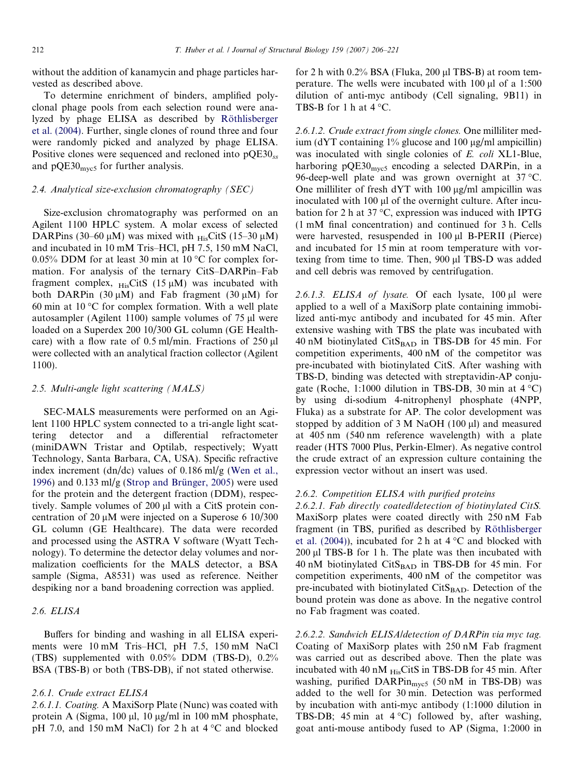without the addition of kanamycin and phage particles harvested as described above.

To determine enrichment of binders, amplified polyclonal phage pools from each selection round were analyzed by phage ELISA as described by Röthlisberger [et al. \(2004\).](#page-15-0) Further, single clones of round three and four were randomly picked and analyzed by phage ELISA. Positive clones were sequenced and recloned into  $pQE30_{ss}$ and  $pQE30<sub>mvc5</sub>$  for further analysis.

# 2.4. Analytical size-exclusion chromatography (SEC)

Size-exclusion chromatography was performed on an Agilent 1100 HPLC system. A molar excess of selected DARPins (30–60  $\mu$ M) was mixed with  $H_{\text{His}}$ CitS (15–30  $\mu$ M) and incubated in 10 mM Tris–HCl, pH 7.5, 150 mM NaCl, 0.05% DDM for at least 30 min at 10  $^{\circ}$ C for complex formation. For analysis of the ternary CitS–DARPin–Fab fragment complex,  $H_{\text{His}}\text{CitS}$  (15 µM) was incubated with both DARPin (30  $\mu$ M) and Fab fragment (30  $\mu$ M) for 60 min at 10  $\rm{°C}$  for complex formation. With a well plate autosampler (Agilent 1100) sample volumes of 75  $\mu$ l were loaded on a Superdex 200 10/300 GL column (GE Healthcare) with a flow rate of  $0.5$  ml/min. Fractions of  $250 \mu$ l were collected with an analytical fraction collector (Agilent 1100).

#### 2.5. Multi-angle light scattering (MALS)

SEC-MALS measurements were performed on an Agilent 1100 HPLC system connected to a tri-angle light scattering detector and a differential refractometer (miniDAWN Tristar and Optilab, respectively; Wyatt Technology, Santa Barbara, CA, USA). Specific refractive index increment (dn/dc) values of 0.186 ml/g ([Wen et al.,](#page-15-0) [1996\)](#page-15-0) and  $0.133$  ml/g (Strop and Brünger, 2005) were used for the protein and the detergent fraction (DDM), respectively. Sample volumes of 200 µl with a CitS protein concentration of 20  $\mu$ M were injected on a Superose 6 10/300 GL column (GE Healthcare). The data were recorded and processed using the ASTRA V software (Wyatt Technology). To determine the detector delay volumes and normalization coefficients for the MALS detector, a BSA sample (Sigma, A8531) was used as reference. Neither despiking nor a band broadening correction was applied.

## 2.6. ELISA

Buffers for binding and washing in all ELISA experiments were 10 mM Tris–HCl, pH 7.5, 150 mM NaCl (TBS) supplemented with 0.05% DDM (TBS-D), 0.2% BSA (TBS-B) or both (TBS-DB), if not stated otherwise.

## 2.6.1. Crude extract ELISA

2.6.1.1. Coating. A MaxiSorp Plate (Nunc) was coated with protein A (Sigma,  $100 \mu l$ ,  $10 \mu g/ml$  in  $100 \mu M$  phosphate, pH 7.0, and 150 mM NaCl) for 2 h at  $4^{\circ}$ C and blocked for 2 h with  $0.2\%$  BSA (Fluka, 200 µl TBS-B) at room temperature. The wells were incubated with  $100 \mu$  of a 1:500 dilution of anti-myc antibody (Cell signaling, 9B11) in TBS-B for 1 h at  $4^{\circ}$ C.

2.6.1.2. Crude extract from single clones. One milliliter medium (dYT containing  $1\%$  glucose and  $100 \mu g/ml$  ampicillin) was inoculated with single colonies of E. coli XL1-Blue, harboring  $pQE30<sub>mvc5</sub>$  encoding a selected DARPin, in a 96-deep-well plate and was grown overnight at  $37^{\circ}$ C. One milliliter of fresh  $dYT$  with 100  $\mu$ g/ml ampicillin was inoculated with 100 µl of the overnight culture. After incubation for 2 h at 37  $\degree$ C, expression was induced with IPTG (1 mM final concentration) and continued for 3 h. Cells were harvested, resuspended in  $100 \mu l$  B-PERII (Pierce) and incubated for 15 min at room temperature with vortexing from time to time. Then, 900 µl TBS-D was added and cell debris was removed by centrifugation.

2.6.1.3. ELISA of lysate. Of each lysate,  $100 \mu l$  were applied to a well of a MaxiSorp plate containing immobilized anti-myc antibody and incubated for 45 min. After extensive washing with TBS the plate was incubated with 40 nM biotinylated  $Cits<sub>BAD</sub>$  in TBS-DB for 45 min. For competition experiments, 400 nM of the competitor was pre-incubated with biotinylated CitS. After washing with TBS-D, binding was detected with streptavidin-AP conjugate (Roche, 1:1000 dilution in TBS-DB, 30 min at  $4^{\circ}$ C) by using di-sodium 4-nitrophenyl phosphate (4NPP, Fluka) as a substrate for AP. The color development was stopped by addition of  $3 M$  NaOH (100  $\mu$ l) and measured at 405 nm (540 nm reference wavelength) with a plate reader (HTS 7000 Plus, Perkin-Elmer). As negative control the crude extract of an expression culture containing the expression vector without an insert was used.

#### 2.6.2. Competition ELISA with purified proteins

2.6.2.1. Fab directly coated/detection of biotinylated CitS. MaxiSorp plates were coated directly with 250 nM Fab fragment (in TBS, purified as described by Röthlisberger [et al. \(2004\)\)](#page-15-0), incubated for 2 h at  $4^{\circ}$ C and blocked with  $200 \mu$ l TBS-B for 1 h. The plate was then incubated with 40 nM biotinylated  $Cits_{\text{BAD}}$  in TBS-DB for 45 min. For competition experiments, 400 nM of the competitor was pre-incubated with biotinylated  $C$ it $S<sub>BAD</sub>$ . Detection of the bound protein was done as above. In the negative control no Fab fragment was coated.

2.6.2.2. Sandwich ELISA/detection of DARPin via myc tag. Coating of MaxiSorp plates with 250 nM Fab fragment was carried out as described above. Then the plate was incubated with 40 nM  $_{\text{His}}$ CitS in TBS-DB for 45 min. After washing, purified  $DARPin<sub>myc5</sub>$  (50 nM in TBS-DB) was added to the well for 30 min. Detection was performed by incubation with anti-myc antibody (1:1000 dilution in TBS-DB; 45 min at  $4^{\circ}$ C) followed by, after washing, goat anti-mouse antibody fused to AP (Sigma, 1:2000 in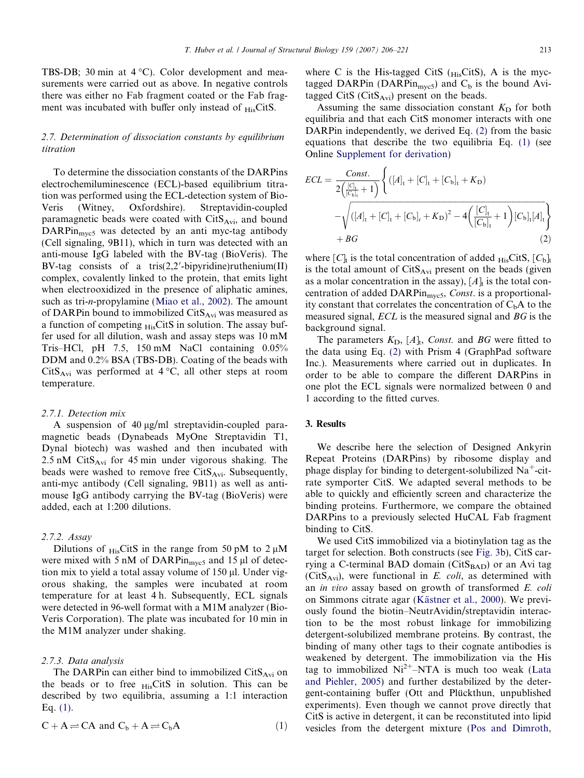<span id="page-7-0"></span>TBS-DB; 30 min at  $4^{\circ}$ C). Color development and measurements were carried out as above. In negative controls there was either no Fab fragment coated or the Fab fragment was incubated with buffer only instead of  $_{His}C$ itS.

# 2.7. Determination of dissociation constants by equilibrium titration

To determine the dissociation constants of the DARPins electrochemiluminescence (ECL)-based equilibrium titration was performed using the ECL-detection system of Bio-Veris (Witney, Oxfordshire). Streptavidin-coupled paramagnetic beads were coated with  $C$ it $S_{Avi}$ , and bound  $DARPin<sub>myc5</sub>$  was detected by an anti myc-tag antibody (Cell signaling, 9B11), which in turn was detected with an anti-mouse IgG labeled with the BV-tag (BioVeris). The BV-tag consists of a tris(2,2'-bipyridine)ruthenium(II) complex, covalently linked to the protein, that emits light when electrooxidized in the presence of aliphatic amines, such as tri-*n*-propylamine ([Miao et al., 2002\)](#page-15-0). The amount of DARPin bound to immobilized  $C$ it $S_{\text{Avi}}$  was measured as a function of competing  $_{\text{His}}$ CitS in solution. The assay buffer used for all dilution, wash and assay steps was 10 mM Tris–HCl, pH 7.5, 150 mM NaCl containing 0.05% DDM and 0.2% BSA (TBS-DB). Coating of the beads with CitS<sub>Avi</sub> was performed at  $4^{\circ}$ C, all other steps at room temperature.

#### 2.7.1. Detection mix

A suspension of  $40 \mu g/ml$  streptavidin-coupled paramagnetic beads (Dynabeads MyOne Streptavidin T1, Dynal biotech) was washed and then incubated with 2.5 nM Cit $S_{\text{Avi}}$  for 45 min under vigorous shaking. The beads were washed to remove free CitS<sub>Avi</sub>. Subsequently, anti-myc antibody (Cell signaling, 9B11) as well as antimouse IgG antibody carrying the BV-tag (BioVeris) were added, each at 1:200 dilutions.

## 2.7.2. Assay

Dilutions of  $_{\text{His}}$ CitS in the range from 50 pM to 2  $\mu$ M were mixed with 5 nM of DARPin<sub>myc5</sub> and 15  $\mu$ l of detection mix to yield a total assay volume of  $150 \mu$ l. Under vigorous shaking, the samples were incubated at room temperature for at least 4 h. Subsequently, ECL signals were detected in 96-well format with a M1M analyzer (Bio-Veris Corporation). The plate was incubated for 10 min in the M1M analyzer under shaking.

# 2.7.3. Data analysis

The DARPin can either bind to immobilized  $Cits_{Avi}$  on the beads or to free  $_{\text{His}}\text{CitS}$  in solution. This can be described by two equilibria, assuming a 1:1 interaction Eq. (1).

$$
C + A \rightleftharpoons CA \text{ and } C_b + A \rightleftharpoons C_bA \tag{1}
$$

where C is the His-tagged CitS  $(H_{\text{His}}\text{CitS})$ , A is the myctagged DARPin (DARPin<sub>myc5</sub>) and  $C_b$  is the bound Avitagged CitS ( $Cits_{\text{Avi}}$ ) present on the beads.

Assuming the same dissociation constant  $K<sub>D</sub>$  for both equilibria and that each CitS monomer interacts with one DARPin independently, we derived Eq. (2) from the basic equations that describe the two equilibria Eq. (1) (see Online Supplement for derivation)

$$
ECL = \frac{Const.}{2\left(\frac{|C|_{t}}{|C_{b}|_{t}}+1\right)} \left\{ \left([A]_{t} + [C]_{t} + [C_{b}]_{t} + K_{D} \right) - \sqrt{\left([A]_{t} + [C]_{t} + [C_{b}]_{t} + K_{D}\right)^{2} - 4\left(\frac{|C|_{t}}{|C_{b}|_{t}}+1\right)[C_{b}]_{t}[A]_{t}} \right\} + BG
$$
\n(2)

where  $[C]_t$  is the total concentration of added  $_{His}C$ itS,  $[C_b]_t$ is the total amount of  $CitS<sub>Avi</sub>$  present on the beads (given as a molar concentration in the assay),  $[A]_t$  is the total concentration of added DARPin<sub>myc5</sub>, Const. is a proportionality constant that correlates the concentration of  $C<sub>b</sub>A$  to the measured signal, ECL is the measured signal and BG is the background signal.

The parameters  $K_{D}$ ,  $[A]_t$ , *Const.* and *BG* were fitted to the data using Eq. (2) with Prism 4 (GraphPad software Inc.). Measurements where carried out in duplicates. In order to be able to compare the different DARPins in one plot the ECL signals were normalized between 0 and 1 according to the fitted curves.

# 3. Results

We describe here the selection of Designed Ankyrin Repeat Proteins (DARPins) by ribosome display and phage display for binding to detergent-solubilized  $Na<sup>+</sup>-cit$ rate symporter CitS. We adapted several methods to be able to quickly and efficiently screen and characterize the binding proteins. Furthermore, we compare the obtained DARPins to a previously selected HuCAL Fab fragment binding to CitS.

We used CitS immobilized via a biotinylation tag as the target for selection. Both constructs (see [Fig. 3](#page-4-0)b), CitS carrying a C-terminal BAD domain ( $\text{CitS}_{\text{BAD}}$ ) or an Avi tag  $(Cits_{\text{Avi}})$ , were functional in E. coli, as determined with an in vivo assay based on growth of transformed E. coli on Simmons citrate agar (Kästner et al., 2000). We previously found the biotin–NeutrAvidin/streptavidin interaction to be the most robust linkage for immobilizing detergent-solubilized membrane proteins. By contrast, the binding of many other tags to their cognate antibodies is weakened by detergent. The immobilization via the His tag to immobilized  $Ni^{2+}-NTA$  is much too weak ([Lata](#page-15-0) [and Piehler, 2005\)](#page-15-0) and further destabilized by the detergent-containing buffer (Ott and Plückthun, unpublished experiments). Even though we cannot prove directly that CitS is active in detergent, it can be reconstituted into lipid vesicles from the detergent mixture [\(Pos and Dimroth,](#page-15-0)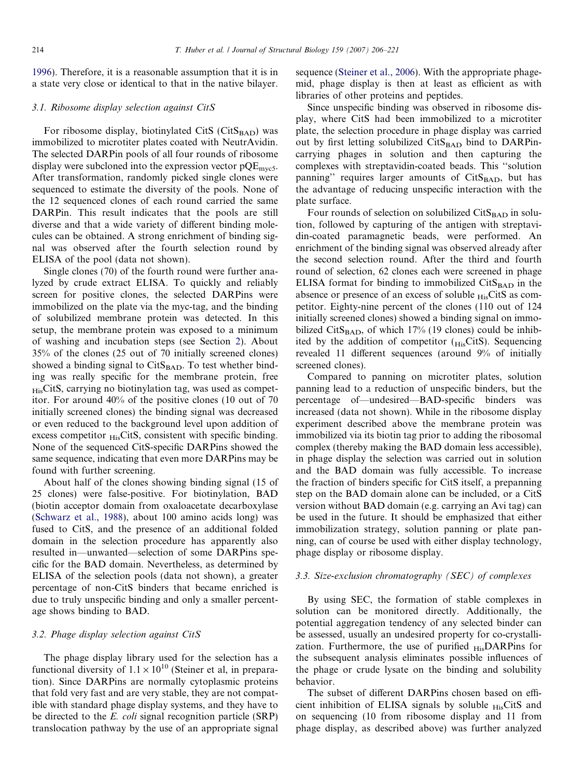[1996\)](#page-15-0). Therefore, it is a reasonable assumption that it is in a state very close or identical to that in the native bilayer.

# 3.1. Ribosome display selection against CitS

For ribosome display, biotinylated CitS ( $C$ itS $_{BAD}$ ) was immobilized to microtiter plates coated with NeutrAvidin. The selected DARPin pools of all four rounds of ribosome display were subcloned into the expression vector  $pQE<sub>mvc5</sub>$ . After transformation, randomly picked single clones were sequenced to estimate the diversity of the pools. None of the 12 sequenced clones of each round carried the same DARPin. This result indicates that the pools are still diverse and that a wide variety of different binding molecules can be obtained. A strong enrichment of binding signal was observed after the fourth selection round by ELISA of the pool (data not shown).

Single clones (70) of the fourth round were further analyzed by crude extract ELISA. To quickly and reliably screen for positive clones, the selected DARPins were immobilized on the plate via the myc-tag, and the binding of solubilized membrane protein was detected. In this setup, the membrane protein was exposed to a minimum of washing and incubation steps (see Section [2](#page-4-0)). About 35% of the clones (25 out of 70 initially screened clones) showed a binding signal to  $\text{CitS}_{\text{BAD}}$ . To test whether binding was really specific for the membrane protein, free HisCitS, carrying no biotinylation tag, was used as competitor. For around 40% of the positive clones (10 out of 70 initially screened clones) the binding signal was decreased or even reduced to the background level upon addition of excess competitor  $_{\text{His}}$ CitS, consistent with specific binding. None of the sequenced CitS-specific DARPins showed the same sequence, indicating that even more DARPins may be found with further screening.

About half of the clones showing binding signal (15 of 25 clones) were false-positive. For biotinylation, BAD (biotin acceptor domain from oxaloacetate decarboxylase [\(Schwarz et al., 1988\)](#page-15-0), about 100 amino acids long) was fused to CitS, and the presence of an additional folded domain in the selection procedure has apparently also resulted in—unwanted—selection of some DARPins specific for the BAD domain. Nevertheless, as determined by ELISA of the selection pools (data not shown), a greater percentage of non-CitS binders that became enriched is due to truly unspecific binding and only a smaller percentage shows binding to BAD.

#### 3.2. Phage display selection against CitS

The phage display library used for the selection has a functional diversity of  $1.1 \times 10^{10}$  (Steiner et al, in preparation). Since DARPins are normally cytoplasmic proteins that fold very fast and are very stable, they are not compatible with standard phage display systems, and they have to be directed to the E. coli signal recognition particle (SRP) translocation pathway by the use of an appropriate signal sequence [\(Steiner et al., 2006](#page-15-0)). With the appropriate phagemid, phage display is then at least as efficient as with libraries of other proteins and peptides.

Since unspecific binding was observed in ribosome display, where CitS had been immobilized to a microtiter plate, the selection procedure in phage display was carried out by first letting solubilized CitS<sub>BAD</sub> bind to DARPincarrying phages in solution and then capturing the complexes with streptavidin-coated beads. This ''solution panning" requires larger amounts of  $CitS<sub>BAD</sub>$ , but has the advantage of reducing unspecific interaction with the plate surface.

Four rounds of selection on solubilized  $Cits<sub>BAD</sub>$  in solution, followed by capturing of the antigen with streptavidin-coated paramagnetic beads, were performed. An enrichment of the binding signal was observed already after the second selection round. After the third and fourth round of selection, 62 clones each were screened in phage ELISA format for binding to immobilized  $Cits<sub>BAD</sub>$  in the absence or presence of an excess of soluble  $_{\text{His}}\text{CitS}$  as competitor. Eighty-nine percent of the clones (110 out of 124 initially screened clones) showed a binding signal on immobilized Cit $S<sub>BAD</sub>$ , of which 17% (19 clones) could be inhibited by the addition of competitor  $(H_{\text{lis}}\text{CitS})$ . Sequencing revealed 11 different sequences (around 9% of initially screened clones).

Compared to panning on microtiter plates, solution panning lead to a reduction of unspecific binders, but the percentage of—undesired—BAD-specific binders was increased (data not shown). While in the ribosome display experiment described above the membrane protein was immobilized via its biotin tag prior to adding the ribosomal complex (thereby making the BAD domain less accessible), in phage display the selection was carried out in solution and the BAD domain was fully accessible. To increase the fraction of binders specific for CitS itself, a prepanning step on the BAD domain alone can be included, or a CitS version without BAD domain (e.g. carrying an Avi tag) can be used in the future. It should be emphasized that either immobilization strategy, solution panning or plate panning, can of course be used with either display technology, phage display or ribosome display.

# 3.3. Size-exclusion chromatography (SEC) of complexes

By using SEC, the formation of stable complexes in solution can be monitored directly. Additionally, the potential aggregation tendency of any selected binder can be assessed, usually an undesired property for co-crystallization. Furthermore, the use of purified  $_{\text{His}}$ DARPins for the subsequent analysis eliminates possible influences of the phage or crude lysate on the binding and solubility behavior.

The subset of different DARPins chosen based on efficient inhibition of ELISA signals by soluble  $_{\text{His}}\text{CitS}$  and on sequencing (10 from ribosome display and 11 from phage display, as described above) was further analyzed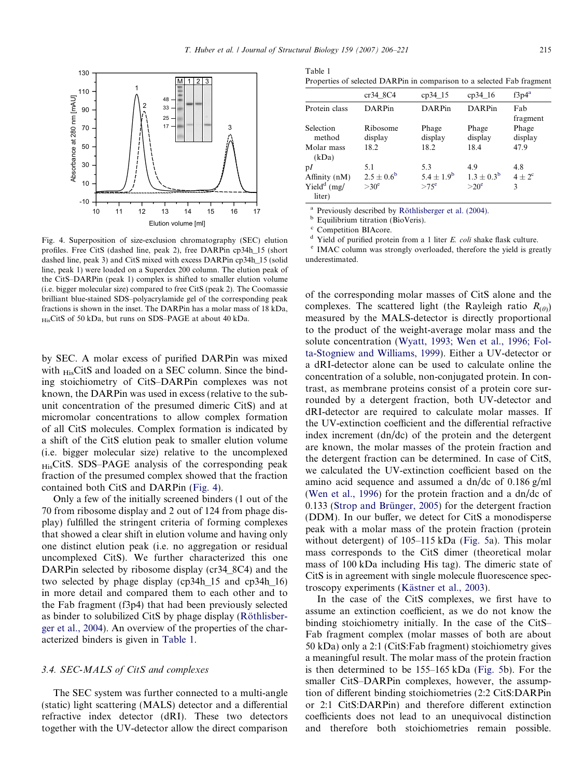

Fig. 4. Superposition of size-exclusion chromatography (SEC) elution profiles. Free CitS (dashed line, peak 2), free DARPin cp34h\_15 (short dashed line, peak 3) and CitS mixed with excess DARPin cp34h\_15 (solid line, peak 1) were loaded on a Superdex 200 column. The elution peak of the CitS–DARPin (peak 1) complex is shifted to smaller elution volume (i.e. bigger molecular size) compared to free CitS (peak 2). The Coomassie brilliant blue-stained SDS–polyacrylamide gel of the corresponding peak fractions is shown in the inset. The DARPin has a molar mass of 18 kDa, HisCitS of 50 kDa, but runs on SDS–PAGE at about 40 kDa.

by SEC. A molar excess of purified DARPin was mixed with  $H_{\text{His}}$ CitS and loaded on a SEC column. Since the binding stoichiometry of CitS–DARPin complexes was not known, the DARPin was used in excess (relative to the subunit concentration of the presumed dimeric CitS) and at micromolar concentrations to allow complex formation of all CitS molecules. Complex formation is indicated by a shift of the CitS elution peak to smaller elution volume (i.e. bigger molecular size) relative to the uncomplexed HisCitS. SDS–PAGE analysis of the corresponding peak fraction of the presumed complex showed that the fraction contained both CitS and DARPin (Fig. 4).

Only a few of the initially screened binders (1 out of the 70 from ribosome display and 2 out of 124 from phage display) fulfilled the stringent criteria of forming complexes that showed a clear shift in elution volume and having only one distinct elution peak (i.e. no aggregation or residual uncomplexed CitS). We further characterized this one DARP in selected by ribosome display (cr34  $8C4$ ) and the two selected by phage display (cp34h\_15 and cp34h\_16) in more detail and compared them to each other and to the Fab fragment (f3p4) that had been previously selected as binder to solubilized CitS by phage display (Röthlisber[ger et al., 2004\)](#page-15-0). An overview of the properties of the characterized binders is given in Table 1.

## 3.4. SEC-MALS of CitS and complexes

The SEC system was further connected to a multi-angle (static) light scattering (MALS) detector and a differential refractive index detector (dRI). These two detectors together with the UV-detector allow the direct comparison

| Table 1                                                                |  |  |  |  |
|------------------------------------------------------------------------|--|--|--|--|
| Properties of selected DARPin in comparison to a selected Fab fragment |  |  |  |  |

|                          | cr34 8C4            | cp34 15            | cp34 16           | $f3p4^a$         |
|--------------------------|---------------------|--------------------|-------------------|------------------|
| Protein class            | <b>DARPin</b>       | <b>DARPin</b>      | <b>DARPin</b>     | Fab<br>fragment  |
| Selection<br>method      | Ribosome<br>display | Phage<br>display   | Phage<br>display  | Phage<br>display |
| Molar mass<br>(kDa)      | 18.2                | 18.2               | 18.4              | 47.9             |
| $\mathfrak{p}I$          | 5.1                 | 5.3                | 49                | 4.8              |
| Affinity (nM)            | $2.5 + 0.6^{b}$     | $5.4 \pm 1.9^{b}$  | $1.3 \pm 0.3^{b}$ | $4+2^{\rm c}$    |
| Yield $d$ (mg/<br>liter) | $>30^e$             | $>75$ <sup>e</sup> | $>20^e$           | 3                |

<sup>a</sup> Previously described by Röthlisberger et al. (2004). **b** Equilibrium titration (BioVeris).

<sup>c</sup> Competition BIAcore.<br><sup>d</sup> Yield of purified protein from a 1 liter *E. coli* shake flask culture.

<sup>e</sup> IMAC column was strongly overloaded, therefore the yield is greatly underestimated.

of the corresponding molar masses of CitS alone and the complexes. The scattered light (the Rayleigh ratio  $R_{(\theta)}$ ) measured by the MALS-detector is directly proportional to the product of the weight-average molar mass and the solute concentration ([Wyatt, 1993; Wen et al., 1996; Fol](#page-15-0)[ta-Stogniew and Williams, 1999\)](#page-15-0). Either a UV-detector or a dRI-detector alone can be used to calculate online the concentration of a soluble, non-conjugated protein. In contrast, as membrane proteins consist of a protein core surrounded by a detergent fraction, both UV-detector and dRI-detector are required to calculate molar masses. If the UV-extinction coefficient and the differential refractive index increment (dn/dc) of the protein and the detergent are known, the molar masses of the protein fraction and the detergent fraction can be determined. In case of CitS, we calculated the UV-extinction coefficient based on the amino acid sequence and assumed a dn/dc of 0.186 g/ml ([Wen et al., 1996](#page-15-0)) for the protein fraction and a dn/dc of 0.133 (Strop and Brünger, 2005) for the detergent fraction (DDM). In our buffer, we detect for CitS a monodisperse peak with a molar mass of the protein fraction (protein without detergent) of 105–115 kDa ([Fig. 5](#page-10-0)a). This molar mass corresponds to the CitS dimer (theoretical molar mass of 100 kDa including His tag). The dimeric state of CitS is in agreement with single molecule fluorescence spectroscopy experiments (Kästner et al., 2003).

In the case of the CitS complexes, we first have to assume an extinction coefficient, as we do not know the binding stoichiometry initially. In the case of the CitS– Fab fragment complex (molar masses of both are about 50 kDa) only a 2:1 (CitS:Fab fragment) stoichiometry gives a meaningful result. The molar mass of the protein fraction is then determined to be 155–165 kDa [\(Fig. 5b](#page-10-0)). For the smaller CitS–DARPin complexes, however, the assumption of different binding stoichiometries (2:2 CitS:DARPin or 2:1 CitS:DARPin) and therefore different extinction coefficients does not lead to an unequivocal distinction and therefore both stoichiometries remain possible.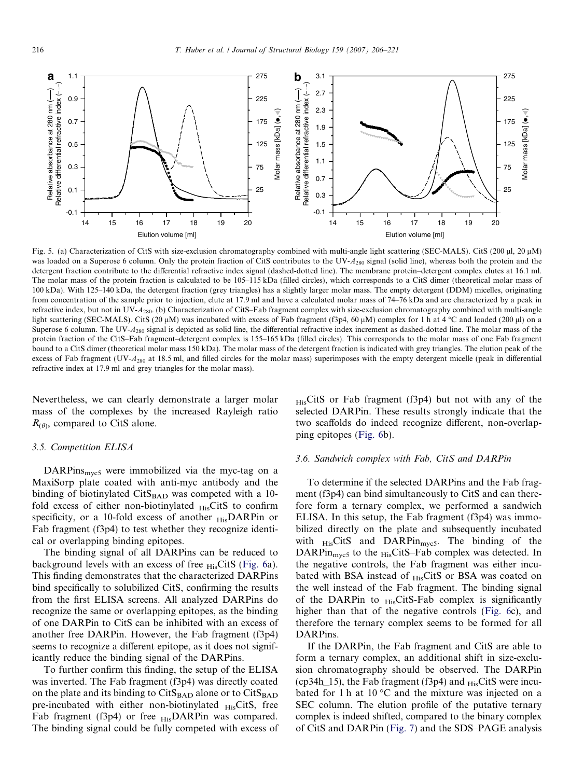<span id="page-10-0"></span>

Fig. 5. (a) Characterization of CitS with size-exclusion chromatography combined with multi-angle light scattering (SEC-MALS). CitS (200  $\mu$ l, 20  $\mu$ M) was loaded on a Superose 6 column. Only the protein fraction of CitS contributes to the UV- $A_{280}$  signal (solid line), whereas both the protein and the detergent fraction contribute to the differential refractive index signal (dashed-dotted line). The membrane protein–detergent complex elutes at 16.1 ml. The molar mass of the protein fraction is calculated to be 105–115 kDa (filled circles), which corresponds to a CitS dimer (theoretical molar mass of 100 kDa). With 125–140 kDa, the detergent fraction (grey triangles) has a slightly larger molar mass. The empty detergent (DDM) micelles, originating from concentration of the sample prior to injection, elute at 17.9 ml and have a calculated molar mass of 74–76 kDa and are characterized by a peak in refractive index, but not in UV-A280. (b) Characterization of CitS–Fab fragment complex with size-exclusion chromatography combined with multi-angle light scattering (SEC-MALS). CitS (20  $\mu$ M) was incubated with excess of Fab fragment (f3p4, 60  $\mu$ M) complex for 1 h at 4 °C and loaded (200  $\mu$ l) on a Superose 6 column. The UV- $A_{280}$  signal is depicted as solid line, the differential refractive index increment as dashed-dotted line. The molar mass of the protein fraction of the CitS–Fab fragment–detergent complex is 155–165 kDa (filled circles). This corresponds to the molar mass of one Fab fragment bound to a CitS dimer (theoretical molar mass 150 kDa). The molar mass of the detergent fraction is indicated with grey triangles. The elution peak of the excess of Fab fragment (UV- $A_{280}$  at 18.5 ml, and filled circles for the molar mass) superimposes with the empty detergent micelle (peak in differential refractive index at 17.9 ml and grey triangles for the molar mass).

Nevertheless, we can clearly demonstrate a larger molar mass of the complexes by the increased Rayleigh ratio  $R_{(\theta)}$ , compared to CitS alone.

# 3.5. Competition ELISA

 $DARPins<sub>mvc5</sub>$  were immobilized via the myc-tag on a MaxiSorp plate coated with anti-myc antibody and the binding of biotinylated CitS<sub>BAD</sub> was competed with a 10fold excess of either non-biotinylated  $_{\text{His}}\text{City}$  to confirm specificity, or a 10-fold excess of another  $_{\text{His}}$ DARPin or Fab fragment (f3p4) to test whether they recognize identical or overlapping binding epitopes.

The binding signal of all DARPins can be reduced to background levels with an excess of free  $_{\text{His}}$ CitS [\(Fig. 6a](#page-11-0)). This finding demonstrates that the characterized DARPins bind specifically to solubilized CitS, confirming the results from the first ELISA screens. All analyzed DARPins do recognize the same or overlapping epitopes, as the binding of one DARPin to CitS can be inhibited with an excess of another free DARPin. However, the Fab fragment (f3p4) seems to recognize a different epitope, as it does not significantly reduce the binding signal of the DARPins.

To further confirm this finding, the setup of the ELISA was inverted. The Fab fragment (f3p4) was directly coated on the plate and its binding to  $\text{CitS}_{\text{BAD}}$  alone or to  $\text{CitS}_{\text{BAD}}$ pre-incubated with either non-biotinylated  $_{\text{His}}\text{City},$  free Fab fragment (f3p4) or free  $_{His}$ DARPin was compared. The binding signal could be fully competed with excess of HisCitS or Fab fragment (f3p4) but not with any of the selected DARPin. These results strongly indicate that the two scaffolds do indeed recognize different, non-overlapping epitopes [\(Fig. 6b](#page-11-0)).

# 3.6. Sandwich complex with Fab, CitS and DARPin

To determine if the selected DARPins and the Fab fragment (f3p4) can bind simultaneously to CitS and can therefore form a ternary complex, we performed a sandwich ELISA. In this setup, the Fab fragment (f3p4) was immobilized directly on the plate and subsequently incubated with  $H_{\text{His}}\text{CitS}$  and DARPin<sub>myc5</sub>. The binding of the DARPin<sub>myc5</sub> to the  $_{\text{His}}$ CitS–Fab complex was detected. In the negative controls, the Fab fragment was either incubated with BSA instead of  $_{\text{His}}$ CitS or BSA was coated on the well instead of the Fab fragment. The binding signal of the DARPin to  $_{\text{His}}$ CitS-Fab complex is significantly higher than that of the negative controls ([Fig. 6](#page-11-0)c), and therefore the ternary complex seems to be formed for all DARPins.

If the DARPin, the Fab fragment and CitS are able to form a ternary complex, an additional shift in size-exclusion chromatography should be observed. The DARPin (cp34h\_15), the Fab fragment (f3p4) and  $_{\text{His}}$ CitS were incubated for 1 h at 10  $\degree$ C and the mixture was injected on a SEC column. The elution profile of the putative ternary complex is indeed shifted, compared to the binary complex of CitS and DARPin ([Fig. 7\)](#page-12-0) and the SDS–PAGE analysis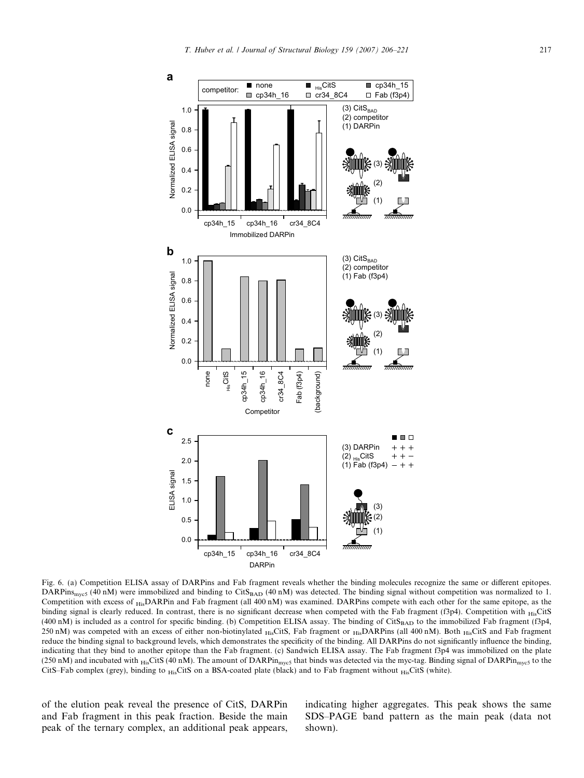<span id="page-11-0"></span>

Fig. 6. (a) Competition ELISA assay of DARPins and Fab fragment reveals whether the binding molecules recognize the same or different epitopes. DARPins<sub>myc5</sub> (40 nM) were immobilized and binding to CitS<sub>BAD</sub> (40 nM) was detected. The binding signal without competition was normalized to 1. Competition with excess of <sub>His</sub>DARPin and Fab fragment (all 400 nM) was examined. DARPins compete with each other for the same epitope, as the binding signal is clearly reduced. In contrast, there is no significant decrease when competed with the Fab fragment (f3p4). Competition with  $_{\text{His}}$ CitS (400 nM) is included as a control for specific binding. (b) Competition ELISA assay. The binding of CitS<sub>BAD</sub> to the immobilized Fab fragment (f3p4, 250 nM) was competed with an excess of either non-biotinylated  $_{His}$ CitS, Fab fragment or  $_{His}$ DARPins (all 400 nM). Both  $_{His}$ CitS and Fab fragment reduce the binding signal to background levels, which demonstrates the specificity of the binding. All DARPins do not significantly influence the binding, indicating that they bind to another epitope than the Fab fragment. (c) Sandwich ELISA assay. The Fab fragment f3p4 was immobilized on the plate (250 nM) and incubated with  $_{\text{His}}$ CitS (40 nM). The amount of DARPin<sub>myc5</sub> that binds was detected via the myc-tag. Binding signal of DARPin<sub>myc5</sub> to the CitS–Fab complex (grey), binding to HisCitS on a BSA-coated plate (black) and to Fab fragment without HisCitS (white).

of the elution peak reveal the presence of CitS, DARPin and Fab fragment in this peak fraction. Beside the main peak of the ternary complex, an additional peak appears, indicating higher aggregates. This peak shows the same SDS–PAGE band pattern as the main peak (data not shown).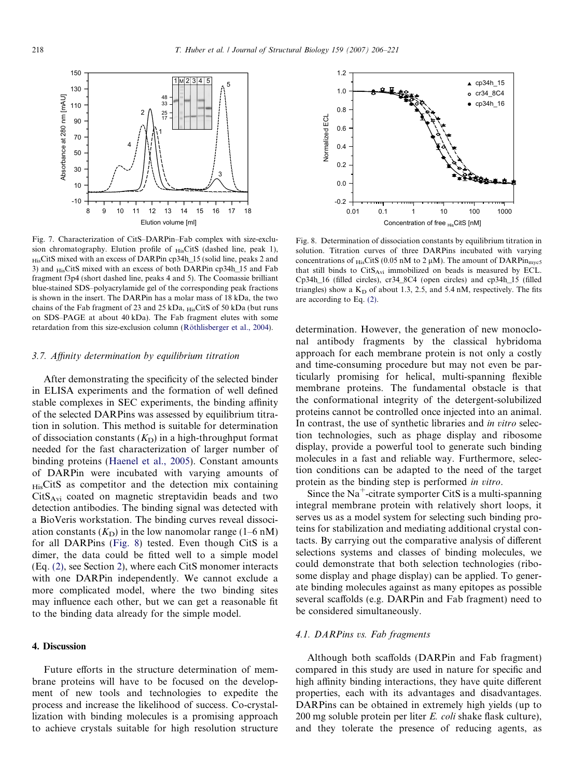<span id="page-12-0"></span>

Fig. 7. Characterization of CitS–DARPin–Fab complex with size-exclusion chromatography. Elution profile of  $_{His}$ CitS (dashed line, peak 1), HisCitS mixed with an excess of DARPin cp34h\_15 (solid line, peaks 2 and 3) and  $_{\text{His}}$ CitS mixed with an excess of both DARPin cp34h\_15 and Fab fragment f3p4 (short dashed line, peaks 4 and 5). The Coomassie brilliant blue-stained SDS–polyacrylamide gel of the corresponding peak fractions is shown in the insert. The DARPin has a molar mass of 18 kDa, the two chains of the Fab fragment of 23 and 25 kDa, HisCitS of 50 kDa (but runs on SDS–PAGE at about 40 kDa). The Fab fragment elutes with some retardation from this size-exclusion column (Röthlisberger et al., 2004).

#### 3.7. Affinity determination by equilibrium titration

After demonstrating the specificity of the selected binder in ELISA experiments and the formation of well defined stable complexes in SEC experiments, the binding affinity of the selected DARPins was assessed by equilibrium titration in solution. This method is suitable for determination of dissociation constants  $(K<sub>D</sub>)$  in a high-throughput format needed for the fast characterization of larger number of binding proteins ([Haenel et al., 2005\)](#page-14-0). Constant amounts of DARPin were incubated with varying amounts of HisCitS as competitor and the detection mix containing CitSAvi coated on magnetic streptavidin beads and two detection antibodies. The binding signal was detected with a BioVeris workstation. The binding curves reveal dissociation constants  $(K<sub>D</sub>)$  in the low nanomolar range (1–6 nM) for all DARPins (Fig. 8) tested. Even though CitS is a dimer, the data could be fitted well to a simple model (Eq. [\(2\)](#page-7-0), see Section [2](#page-4-0)), where each CitS monomer interacts with one DARPin independently. We cannot exclude a more complicated model, where the two binding sites may influence each other, but we can get a reasonable fit to the binding data already for the simple model.

# 4. Discussion

Future efforts in the structure determination of membrane proteins will have to be focused on the development of new tools and technologies to expedite the process and increase the likelihood of success. Co-crystallization with binding molecules is a promising approach to achieve crystals suitable for high resolution structure



Fig. 8. Determination of dissociation constants by equilibrium titration in solution. Titration curves of three DARPins incubated with varying concentrations of  $_{\text{His}}$ CitS (0.05 nM to 2 µM). The amount of DARPin<sub>myc5</sub> that still binds to  $C$ it $S_{\text{Avi}}$  immobilized on beads is measured by ECL. Cp34h\_16 (filled circles), cr34\_8C4 (open circles) and cp34h\_15 (filled triangles) show a  $K_D$  of about 1.3, 2.5, and 5.4 nM, respectively. The fits are according to Eq. [\(2\)](#page-7-0).

determination. However, the generation of new monoclonal antibody fragments by the classical hybridoma approach for each membrane protein is not only a costly and time-consuming procedure but may not even be particularly promising for helical, multi-spanning flexible membrane proteins. The fundamental obstacle is that the conformational integrity of the detergent-solubilized proteins cannot be controlled once injected into an animal. In contrast, the use of synthetic libraries and in vitro selection technologies, such as phage display and ribosome display, provide a powerful tool to generate such binding molecules in a fast and reliable way. Furthermore, selection conditions can be adapted to the need of the target protein as the binding step is performed in vitro.

Since the  $Na<sup>+</sup>$ -citrate symporter CitS is a multi-spanning integral membrane protein with relatively short loops, it serves us as a model system for selecting such binding proteins for stabilization and mediating additional crystal contacts. By carrying out the comparative analysis of different selections systems and classes of binding molecules, we could demonstrate that both selection technologies (ribosome display and phage display) can be applied. To generate binding molecules against as many epitopes as possible several scaffolds (e.g. DARPin and Fab fragment) need to be considered simultaneously.

# 4.1. DARPins vs. Fab fragments

Although both scaffolds (DARPin and Fab fragment) compared in this study are used in nature for specific and high affinity binding interactions, they have quite different properties, each with its advantages and disadvantages. DARPins can be obtained in extremely high yields (up to 200 mg soluble protein per liter E. coli shake flask culture), and they tolerate the presence of reducing agents, as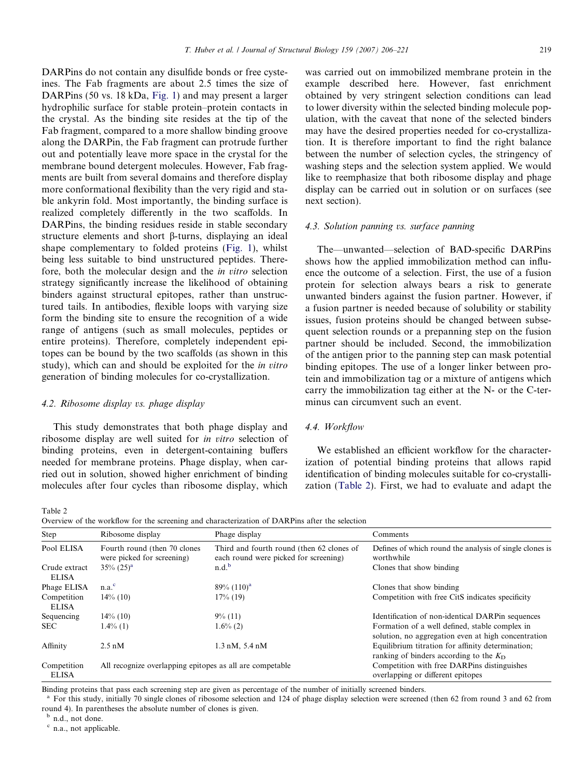DARPins do not contain any disulfide bonds or free cysteines. The Fab fragments are about 2.5 times the size of DARPins (50 vs. 18 kDa, [Fig. 1](#page-2-0)) and may present a larger hydrophilic surface for stable protein–protein contacts in the crystal. As the binding site resides at the tip of the Fab fragment, compared to a more shallow binding groove along the DARPin, the Fab fragment can protrude further out and potentially leave more space in the crystal for the membrane bound detergent molecules. However, Fab fragments are built from several domains and therefore display more conformational flexibility than the very rigid and stable ankyrin fold. Most importantly, the binding surface is realized completely differently in the two scaffolds. In DARPins, the binding residues reside in stable secondary structure elements and short  $\beta$ -turns, displaying an ideal shape complementary to folded proteins ([Fig. 1](#page-2-0)), whilst being less suitable to bind unstructured peptides. Therefore, both the molecular design and the in vitro selection strategy significantly increase the likelihood of obtaining binders against structural epitopes, rather than unstructured tails. In antibodies, flexible loops with varying size form the binding site to ensure the recognition of a wide range of antigens (such as small molecules, peptides or entire proteins). Therefore, completely independent epitopes can be bound by the two scaffolds (as shown in this study), which can and should be exploited for the *in vitro* generation of binding molecules for co-crystallization.

#### 4.2. Ribosome display vs. phage display

This study demonstrates that both phage display and ribosome display are well suited for in vitro selection of binding proteins, even in detergent-containing buffers needed for membrane proteins. Phage display, when carried out in solution, showed higher enrichment of binding molecules after four cycles than ribosome display, which

was carried out on immobilized membrane protein in the example described here. However, fast enrichment obtained by very stringent selection conditions can lead to lower diversity within the selected binding molecule population, with the caveat that none of the selected binders may have the desired properties needed for co-crystallization. It is therefore important to find the right balance between the number of selection cycles, the stringency of washing steps and the selection system applied. We would like to reemphasize that both ribosome display and phage display can be carried out in solution or on surfaces (see next section).

## 4.3. Solution panning vs. surface panning

The—unwanted—selection of BAD-specific DARPins shows how the applied immobilization method can influence the outcome of a selection. First, the use of a fusion protein for selection always bears a risk to generate unwanted binders against the fusion partner. However, if a fusion partner is needed because of solubility or stability issues, fusion proteins should be changed between subsequent selection rounds or a prepanning step on the fusion partner should be included. Second, the immobilization of the antigen prior to the panning step can mask potential binding epitopes. The use of a longer linker between protein and immobilization tag or a mixture of antigens which carry the immobilization tag either at the N- or the C-terminus can circumvent such an event.

# 4.4. Workflow

We established an efficient workflow for the characterization of potential binding proteins that allows rapid identification of binding molecules suitable for co-crystallization (Table 2). First, we had to evaluate and adapt the

Table 2

Overview of the workflow for the screening and characterization of DARPins after the selection

| Step                          | Ribosome display                                           | Phage display                                                                      | Comments                                                                                              |
|-------------------------------|------------------------------------------------------------|------------------------------------------------------------------------------------|-------------------------------------------------------------------------------------------------------|
| Pool ELISA                    | Fourth round (then 70 clones<br>were picked for screening) | Third and fourth round (then 62 clones of<br>each round were picked for screening) | Defines of which round the analysis of single clones is<br>worthwhile                                 |
| Crude extract<br><b>ELISA</b> | $35\% (25)^{a}$                                            | n.d. <sup>b</sup>                                                                  | Clones that show binding                                                                              |
| Phage ELISA                   | n.a. <sup>c</sup>                                          | $89\%$ $(110)^a$                                                                   | Clones that show binding                                                                              |
| Competition<br><b>ELISA</b>   | $14\%$ (10)                                                | $17\%$ (19)                                                                        | Competition with free CitS indicates specificity                                                      |
| Sequencing                    | $14\%$ (10)                                                | $9\%$ (11)                                                                         | Identification of non-identical DARP in sequences                                                     |
| <b>SEC</b>                    | $1.4\%$ (1)                                                | $1.6\%$ (2)                                                                        | Formation of a well defined, stable complex in<br>solution, no aggregation even at high concentration |
| Affinity                      | $2.5 \text{ nM}$                                           | 1.3 nM, 5.4 nM                                                                     | Equilibrium titration for affinity determination;<br>ranking of binders according to the $K_{\rm D}$  |
| Competition<br><b>ELISA</b>   | All recognize overlapping epitopes as all are competable   |                                                                                    | Competition with free DARPins distinguishes<br>overlapping or different epitopes                      |

Binding proteins that pass each screening step are given as percentage of the number of initially screened binders.

<sup>a</sup> For this study, initially 70 single clones of ribosome selection and 124 of phage display selection were screened (then 62 from round 3 and 62 from round 4). In parentheses the absolute number of clones is given.

 $<sup>b</sup>$  n.d., not done.</sup>

<sup>c</sup> n.a., not applicable.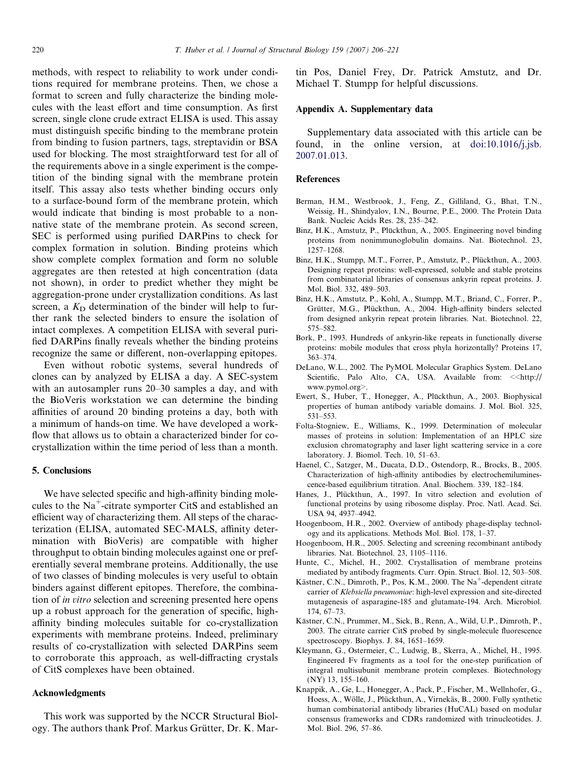<span id="page-14-0"></span>methods, with respect to reliability to work under conditions required for membrane proteins. Then, we chose a format to screen and fully characterize the binding molecules with the least effort and time consumption. As first screen, single clone crude extract ELISA is used. This assay must distinguish specific binding to the membrane protein from binding to fusion partners, tags, streptavidin or BSA used for blocking. The most straightforward test for all of the requirements above in a single experiment is the competition of the binding signal with the membrane protein itself. This assay also tests whether binding occurs only to a surface-bound form of the membrane protein, which would indicate that binding is most probable to a nonnative state of the membrane protein. As second screen, SEC is performed using purified DARPins to check for complex formation in solution. Binding proteins which show complete complex formation and form no soluble aggregates are then retested at high concentration (data not shown), in order to predict whether they might be aggregation-prone under crystallization conditions. As last screen, a  $K<sub>D</sub>$  determination of the binder will help to further rank the selected binders to ensure the isolation of intact complexes. A competition ELISA with several purified DARPins finally reveals whether the binding proteins recognize the same or different, non-overlapping epitopes.

Even without robotic systems, several hundreds of clones can by analyzed by ELISA a day. A SEC-system with an autosampler runs 20–30 samples a day, and with the BioVeris workstation we can determine the binding affinities of around 20 binding proteins a day, both with a minimum of hands-on time. We have developed a workflow that allows us to obtain a characterized binder for cocrystallization within the time period of less than a month.

## 5. Conclusions

We have selected specific and high-affinity binding molecules to the Na<sup>+</sup>-citrate symporter CitS and established an efficient way of characterizing them. All steps of the characterization (ELISA, automated SEC-MALS, affinity determination with BioVeris) are compatible with higher throughput to obtain binding molecules against one or preferentially several membrane proteins. Additionally, the use of two classes of binding molecules is very useful to obtain binders against different epitopes. Therefore, the combination of in vitro selection and screening presented here opens up a robust approach for the generation of specific, highaffinity binding molecules suitable for co-crystallization experiments with membrane proteins. Indeed, preliminary results of co-crystallization with selected DARPins seem to corroborate this approach, as well-diffracting crystals of CitS complexes have been obtained.

# Acknowledgments

This work was supported by the NCCR Structural Biology. The authors thank Prof. Markus Grütter, Dr. K. Martin Pos, Daniel Frey, Dr. Patrick Amstutz, and Dr. Michael T. Stumpp for helpful discussions.

## Appendix A. Supplementary data

Supplementary data associated with this article can be found, in the online version, at [doi:10.1016/j.jsb.](http://dx.doi.org/10.1016/j.jsb.2007.01.013) [2007.01.013](http://dx.doi.org/10.1016/j.jsb.2007.01.013).

#### References

- Berman, H.M., Westbrook, J., Feng, Z., Gilliland, G., Bhat, T.N., Weissig, H., Shindyalov, I.N., Bourne, P.E., 2000. The Protein Data Bank. Nucleic Acids Res. 28, 235–242.
- Binz, H.K., Amstutz, P., Plückthun, A., 2005. Engineering novel binding proteins from nonimmunoglobulin domains. Nat. Biotechnol. 23, 1257–1268.
- Binz, H.K., Stumpp, M.T., Forrer, P., Amstutz, P., Plückthun, A., 2003. Designing repeat proteins: well-expressed, soluble and stable proteins from combinatorial libraries of consensus ankyrin repeat proteins. J. Mol. Biol. 332, 489–503.
- Binz, H.K., Amstutz, P., Kohl, A., Stumpp, M.T., Briand, C., Forrer, P., Grütter, M.G., Plückthun, A., 2004. High-affinity binders selected from designed ankyrin repeat protein libraries. Nat. Biotechnol. 22, 575–582.
- Bork, P., 1993. Hundreds of ankyrin-like repeats in functionally diverse proteins: mobile modules that cross phyla horizontally? Proteins 17, 363–374.
- DeLano, W.L., 2002. The PyMOL Molecular Graphics System. DeLano Scientific, Palo Alto, CA, USA. Available from: << http:// www.pymol.org>.
- Ewert, S., Huber, T., Honegger, A., Plückthun, A., 2003. Biophysical properties of human antibody variable domains. J. Mol. Biol. 325, 531–553.
- Folta-Stogniew, E., Williams, K., 1999. Determination of molecular masses of proteins in solution: Implementation of an HPLC size exclusion chromatography and laser light scattering service in a core laboratory. J. Biomol. Tech. 10, 51–63.
- Haenel, C., Satzger, M., Ducata, D.D., Ostendorp, R., Brocks, B., 2005. Characterization of high-affinity antibodies by electrochemiluminescence-based equilibrium titration. Anal. Biochem. 339, 182–184.
- Hanes, J., Plückthun, A., 1997. In vitro selection and evolution of functional proteins by using ribosome display. Proc. Natl. Acad. Sci. USA 94, 4937–4942.
- Hoogenboom, H.R., 2002. Overview of antibody phage-display technology and its applications. Methods Mol. Biol. 178, 1–37.
- Hoogenboom, H.R., 2005. Selecting and screening recombinant antibody libraries. Nat. Biotechnol. 23, 1105–1116.
- Hunte, C., Michel, H., 2002. Crystallisation of membrane proteins mediated by antibody fragments. Curr. Opin. Struct. Biol. 12, 503–508.
- Kästner, C.N., Dimroth, P., Pos, K.M., 2000. The  $Na<sup>+</sup>$ -dependent citrate carrier of Klebsiella pneumoniae: high-level expression and site-directed mutagenesis of asparagine-185 and glutamate-194. Arch. Microbiol. 174, 67–73.
- Kästner, C.N., Prummer, M., Sick, B., Renn, A., Wild, U.P., Dimroth, P., 2003. The citrate carrier CitS probed by single-molecule fluorescence spectroscopy. Biophys. J. 84, 1651–1659.
- Kleymann, G., Ostermeier, C., Ludwig, B., Skerra, A., Michel, H., 1995. Engineered Fv fragments as a tool for the one-step purification of integral multisubunit membrane protein complexes. Biotechnology (NY) 13, 155–160.
- Knappik, A., Ge, L., Honegger, A., Pack, P., Fischer, M., Wellnhofer, G., Hoess, A., Wölle, J., Plückthun, A., Virnekäs, B., 2000. Fully synthetic human combinatorial antibody libraries (HuCAL) based on modular consensus frameworks and CDRs randomized with trinucleotides. J. Mol. Biol. 296, 57–86.